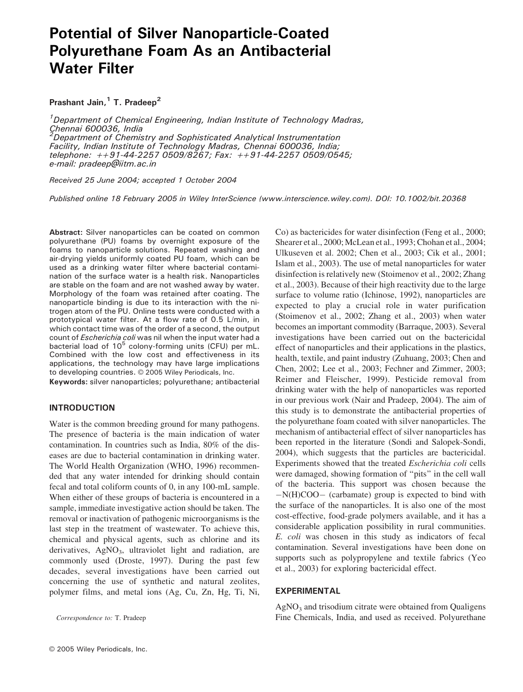# Potential of Silver Nanoparticle-Coated Polyurethane Foam As an Antibacterial Water Filter

Prashant Jain, $1$  T. Pradeep<sup>2</sup>

<sup>1</sup>Department of Chemical Engineering, Indian Institute of Technology Madras, Chennai 600036, India<br><sup>2</sup>Denartment of Chemis Department of Chemistry and Sophisticated Analytical Instrumentation Facility, Indian Institute of Technology Madras, Chennai 600036, India; telephone: ++91-44-2257 0509/8267; Fax: ++91-44-2257 0509/0545; e-mail: pradeep@iitm.ac.in

Received 25 June 2004; accepted 1 October 2004

Published online 18 February 2005 in Wiley InterScience (www.interscience.wiley.com). DOI: 10.1002/bit.20368

Abstract: Silver nanoparticles can be coated on common polyurethane (PU) foams by overnight exposure of the foams to nanoparticle solutions. Repeated washing and air-drying yields uniformly coated PU foam, which can be used as a drinking water filter where bacterial contamination of the surface water is a health risk. Nanoparticles are stable on the foam and are not washed away by water. Morphology of the foam was retained after coating. The nanoparticle binding is due to its interaction with the nitrogen atom of the PU. Online tests were conducted with a prototypical water filter. At a flow rate of 0.5 L/min, in which contact time was of the order of a second, the output count of Escherichia coli was nil when the input water had a bacterial load of  $10^5$  colony-forming units (CFU) per mL. Combined with the low cost and effectiveness in its applications, the technology may have large implications to developing countries. © 2005 Wiley Periodicals, Inc.

Keywords: silver nanoparticles; polyurethane; antibacterial

# INTRODUCTION

Water is the common breeding ground for many pathogens. The presence of bacteria is the main indication of water contamination. In countries such as India, 80% of the diseases are due to bacterial contamination in drinking water. The World Health Organization (WHO, 1996) recommended that any water intended for drinking should contain fecal and total coliform counts of 0, in any 100-mL sample. When either of these groups of bacteria is encountered in a sample, immediate investigative action should be taken. The removal or inactivation of pathogenic microorganisms is the last step in the treatment of wastewater. To achieve this, chemical and physical agents, such as chlorine and its derivatives, AgNO<sub>3</sub>, ultraviolet light and radiation, are commonly used (Droste, 1997). During the past few decades, several investigations have been carried out concerning the use of synthetic and natural zeolites, polymer films, and metal ions (Ag, Cu, Zn, Hg, Ti, Ni,

Correspondence to: T. Pradeep

Co) as bactericides for water disinfection (Feng et al., 2000; Shearer et al., 2000; McLean et al., 1993; Chohan et al., 2004; Ulkuseven et al. 2002; Chen et al., 2003; Cik et al., 2001; Islam et al., 2003). The use of metal nanoparticles for water disinfection is relatively new (Stoimenov et al., 2002; Zhang et al., 2003). Because of their high reactivity due to the large surface to volume ratio (Ichinose, 1992), nanoparticles are expected to play a crucial role in water purification (Stoimenov et al., 2002; Zhang et al., 2003) when water becomes an important commodity (Barraque, 2003). Several investigations have been carried out on the bactericidal effect of nanoparticles and their applications in the plastics, health, textile, and paint industry (Zuhuang, 2003; Chen and Chen, 2002; Lee et al., 2003; Fechner and Zimmer, 2003; Reimer and Fleischer, 1999). Pesticide removal from drinking water with the help of nanoparticles was reported in our previous work (Nair and Pradeep, 2004). The aim of this study is to demonstrate the antibacterial properties of the polyurethane foam coated with silver nanoparticles. The mechanism of antibacterial effect of silver nanoparticles has been reported in the literature (Sondi and Salopek-Sondi, 2004), which suggests that the particles are bactericidal. Experiments showed that the treated Escherichia coli cells were damaged, showing formation of ''pits'' in the cell wall of the bacteria. This support was chosen because the  $-N(H)COO -$  (carbamate) group is expected to bind with the surface of the nanoparticles. It is also one of the most cost-effective, food-grade polymers available, and it has a considerable application possibility in rural communities. E. coli was chosen in this study as indicators of fecal contamination. Several investigations have been done on supports such as polypropylene and textile fabrics (Yeo et al., 2003) for exploring bactericidal effect.

#### EXPERIMENTAL

 $AgNO<sub>3</sub>$  and trisodium citrate were obtained from Qualigens Fine Chemicals, India, and used as received. Polyurethane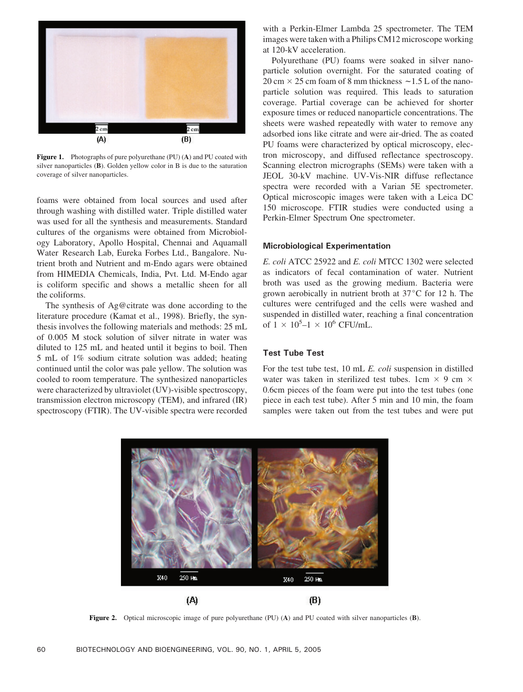

Figure 1. Photographs of pure polyurethane (PU) (A) and PU coated with silver nanoparticles (B). Golden yellow color in B is due to the saturation coverage of silver nanoparticles.

foams were obtained from local sources and used after through washing with distilled water. Triple distilled water was used for all the synthesis and measurements. Standard cultures of the organisms were obtained from Microbiology Laboratory, Apollo Hospital, Chennai and Aquamall Water Research Lab, Eureka Forbes Ltd., Bangalore. Nutrient broth and Nutrient and m-Endo agars were obtained from HIMEDIA Chemicals, India, Pvt. Ltd. M-Endo agar is coliform specific and shows a metallic sheen for all the coliforms.

The synthesis of Ag@citrate was done according to the literature procedure (Kamat et al., 1998). Briefly, the synthesis involves the following materials and methods: 25 mL of 0.005 M stock solution of silver nitrate in water was diluted to 125 mL and heated until it begins to boil. Then 5 mL of 1% sodium citrate solution was added; heating continued until the color was pale yellow. The solution was cooled to room temperature. The synthesized nanoparticles were characterized by ultraviolet (UV)-visible spectroscopy, transmission electron microscopy (TEM), and infrared (IR) spectroscopy (FTIR). The UV-visible spectra were recorded with a Perkin-Elmer Lambda 25 spectrometer. The TEM images were taken with a Philips CM12 microscope working at 120-kV acceleration.

Polyurethane (PU) foams were soaked in silver nanoparticle solution overnight. For the saturated coating of  $20 \text{ cm} \times 25 \text{ cm}$  foam of 8 mm thickness  $\sim 1.5 \text{ L}$  of the nanoparticle solution was required. This leads to saturation coverage. Partial coverage can be achieved for shorter exposure times or reduced nanoparticle concentrations. The sheets were washed repeatedly with water to remove any adsorbed ions like citrate and were air-dried. The as coated PU foams were characterized by optical microscopy, electron microscopy, and diffused reflectance spectroscopy. Scanning electron micrographs (SEMs) were taken with a JEOL 30-kV machine. UV-Vis-NIR diffuse reflectance spectra were recorded with a Varian 5E spectrometer. Optical microscopic images were taken with a Leica DC 150 microscope. FTIR studies were conducted using a Perkin-Elmer Spectrum One spectrometer.

#### Microbiological Experimentation

E. coli ATCC 25922 and E. coli MTCC 1302 were selected as indicators of fecal contamination of water. Nutrient broth was used as the growing medium. Bacteria were grown aerobically in nutrient broth at  $37^{\circ}$ C for 12 h. The cultures were centrifuged and the cells were washed and suspended in distilled water, reaching a final concentration of  $1 \times 10^5 - 1 \times 10^6$  CFU/mL.

## Test Tube Test

For the test tube test, 10 mL E. coli suspension in distilled water was taken in sterilized test tubes. 1cm  $\times$  9 cm  $\times$ 0.6cm pieces of the foam were put into the test tubes (one piece in each test tube). After 5 min and 10 min, the foam samples were taken out from the test tubes and were put



Figure 2. Optical microscopic image of pure polyurethane (PU) (A) and PU coated with silver nanoparticles (B).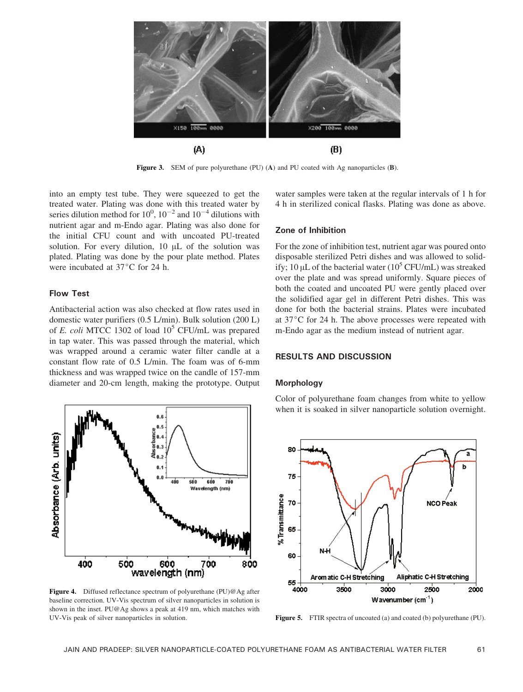

Figure 3. SEM of pure polyurethane (PU) (A) and PU coated with Ag nanoparticles (B).

into an empty test tube. They were squeezed to get the treated water. Plating was done with this treated water by series dilution method for  $10^0$ ,  $10^{-2}$  and  $10^{-4}$  dilutions with nutrient agar and m-Endo agar. Plating was also done for the initial CFU count and with uncoated PU-treated solution. For every dilution,  $10 \mu L$  of the solution was plated. Plating was done by the pour plate method. Plates were incubated at  $37^{\circ}$ C for 24 h.

## Flow Test

Antibacterial action was also checked at flow rates used in domestic water purifiers (0.5 L/min). Bulk solution (200 L) of E. coli MTCC 1302 of load  $10^5$  CFU/mL was prepared in tap water. This was passed through the material, which was wrapped around a ceramic water filter candle at a constant flow rate of 0.5 L/min. The foam was of 6-mm thickness and was wrapped twice on the candle of 157-mm diameter and 20-cm length, making the prototype. Output



Figure 4. Diffused reflectance spectrum of polyurethane (PU)@Ag after baseline correction. UV-Vis spectrum of silver nanoparticles in solution is shown in the inset. PU@Ag shows a peak at 419 nm, which matches with UV-Vis peak of silver nanoparticles in solution. Figure 5. FTIR spectra of uncoated (a) and coated (b) polyurethane (PU).

water samples were taken at the regular intervals of 1 h for 4 h in sterilized conical flasks. Plating was done as above.

# Zone of Inhibition

For the zone of inhibition test, nutrient agar was poured onto disposable sterilized Petri dishes and was allowed to solidify; 10  $\mu$ L of the bacterial water (10<sup>5</sup> CFU/mL) was streaked over the plate and was spread uniformly. Square pieces of both the coated and uncoated PU were gently placed over the solidified agar gel in different Petri dishes. This was done for both the bacterial strains. Plates were incubated at  $37^{\circ}$ C for 24 h. The above processes were repeated with m-Endo agar as the medium instead of nutrient agar.

## RESULTS AND DISCUSSION

### Morphology

Color of polyurethane foam changes from white to yellow when it is soaked in silver nanoparticle solution overnight.

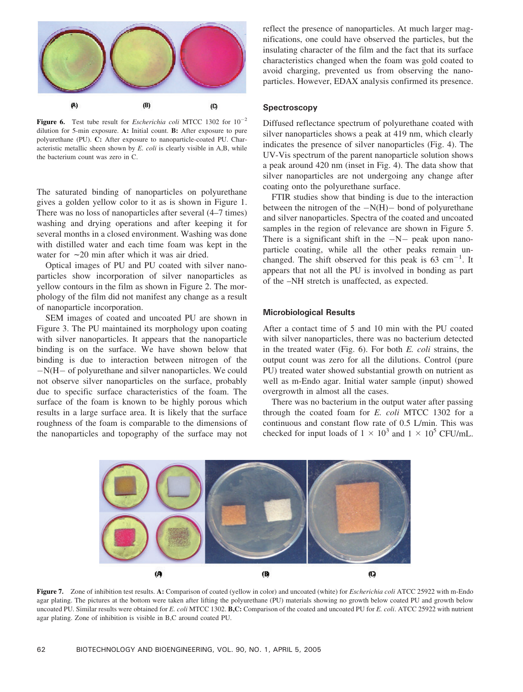

Figure 6. Test tube result for *Escherichia coli* MTCC 1302 for  $10^{-2}$ dilution for 5-min exposure. A: Initial count. B: After exposure to pure polyurethane (PU). C: After exposure to nanoparticle-coated PU. Characteristic metallic sheen shown by E. coli is clearly visible in A,B, while the bacterium count was zero in C.

The saturated binding of nanoparticles on polyurethane gives a golden yellow color to it as is shown in Figure 1. There was no loss of nanoparticles after several (4–7 times) washing and drying operations and after keeping it for several months in a closed environment. Washing was done with distilled water and each time foam was kept in the water for  $\sim$  20 min after which it was air dried.

Optical images of PU and PU coated with silver nanoparticles show incorporation of silver nanoparticles as yellow contours in the film as shown in Figure 2. The morphology of the film did not manifest any change as a result of nanoparticle incorporation.

SEM images of coated and uncoated PU are shown in Figure 3. The PU maintained its morphology upon coating with silver nanoparticles. It appears that the nanoparticle binding is on the surface. We have shown below that binding is due to interaction between nitrogen of the  $-N(H - of polyurethane and silver nanoparticles. We could$ not observe silver nanoparticles on the surface, probably due to specific surface characteristics of the foam. The surface of the foam is known to be highly porous which results in a large surface area. It is likely that the surface roughness of the foam is comparable to the dimensions of the nanoparticles and topography of the surface may not reflect the presence of nanoparticles. At much larger magnifications, one could have observed the particles, but the insulating character of the film and the fact that its surface characteristics changed when the foam was gold coated to avoid charging, prevented us from observing the nanoparticles. However, EDAX analysis confirmed its presence.

#### **Spectroscopy**

Diffused reflectance spectrum of polyurethane coated with silver nanoparticles shows a peak at 419 nm, which clearly indicates the presence of silver nanoparticles (Fig. 4). The UV-Vis spectrum of the parent nanoparticle solution shows a peak around 420 nm (inset in Fig. 4). The data show that silver nanoparticles are not undergoing any change after coating onto the polyurethane surface.

FTIR studies show that binding is due to the interaction between the nitrogen of the  $-N(H)$  bond of polyurethane and silver nanoparticles. Spectra of the coated and uncoated samples in the region of relevance are shown in Figure 5. There is a significant shift in the  $-N-$  peak upon nanoparticle coating, while all the other peaks remain unchanged. The shift observed for this peak is  $63 \text{ cm}^{-1}$ . It appears that not all the PU is involved in bonding as part of the –NH stretch is unaffected, as expected.

### Microbiological Results

After a contact time of 5 and 10 min with the PU coated with silver nanoparticles, there was no bacterium detected in the treated water (Fig. 6). For both E. coli strains, the output count was zero for all the dilutions. Control (pure PU) treated water showed substantial growth on nutrient as well as m-Endo agar. Initial water sample (input) showed overgrowth in almost all the cases.

There was no bacterium in the output water after passing through the coated foam for E. coli MTCC 1302 for a continuous and constant flow rate of 0.5 L/min. This was checked for input loads of  $1 \times 10^3$  and  $1 \times 10^5$  CFU/mL.



Figure 7. Zone of inhibition test results. A: Comparison of coated (yellow in color) and uncoated (white) for *Escherichia coli* ATCC 25922 with m-Endo agar plating. The pictures at the bottom were taken after lifting the polyurethane (PU) materials showing no growth below coated PU and growth below uncoated PU. Similar results were obtained for E. coli MTCC 1302. B,C: Comparison of the coated and uncoated PU for E. coli. ATCC 25922 with nutrient agar plating. Zone of inhibition is visible in B,C around coated PU.